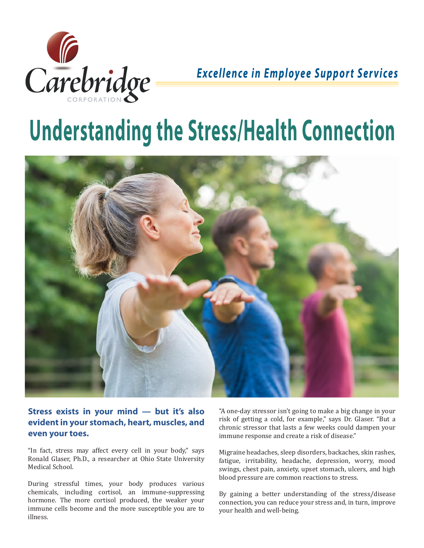

## **Excellence in Employee Support Services**

# **Understanding the Stress/Health Connection**



#### **Stress exists in your mind — but it's also evident in your stomach, heart, muscles, and even your toes.**

"In fact, stress may affect every cell in your body," says Ronald Glaser, Ph.D., a researcher at Ohio State University Medical School.

During stressful times, your body produces various chemicals, including cortisol, an immune-suppressing hormone. The more cortisol produced, the weaker your immune cells become and the more susceptible you are to illness.

"A one-day stressor isn't going to make a big change in your risk of getting a cold, for example," says Dr. Glaser. "But a chronic stressor that lasts a few weeks could dampen your immune response and create a risk of disease."

Migraine headaches, sleep disorders, backaches, skin rashes, fatigue, irritability, headache, depression, worry, mood swings, chest pain, anxiety, upset stomach, ulcers, and high blood pressure are common reactions to stress.

By gaining a better understanding of the stress/disease connection, you can reduce your stress and, in turn, improve your health and well-being.